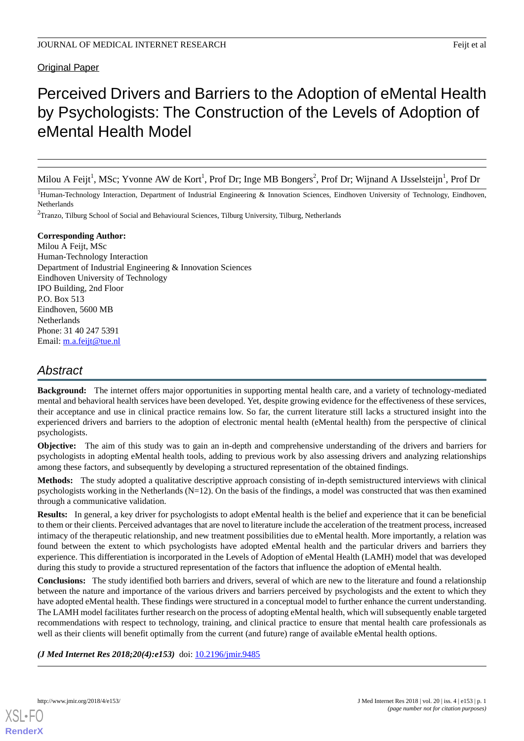## Original Paper

# Perceived Drivers and Barriers to the Adoption of eMental Health by Psychologists: The Construction of the Levels of Adoption of eMental Health Model

Milou A Feijt<sup>1</sup>, MSc; Yvonne AW de Kort<sup>1</sup>, Prof Dr; Inge MB Bongers<sup>2</sup>, Prof Dr; Wijnand A IJsselsteijn<sup>1</sup>, Prof Dr

<sup>1</sup>Human-Technology Interaction, Department of Industrial Engineering & Innovation Sciences, Eindhoven University of Technology, Eindhoven, Netherlands

<sup>2</sup>Tranzo, Tilburg School of Social and Behavioural Sciences, Tilburg University, Tilburg, Netherlands

#### **Corresponding Author:**

Milou A Feijt, MSc Human-Technology Interaction Department of Industrial Engineering & Innovation Sciences Eindhoven University of Technology IPO Building, 2nd Floor P.O. Box 513 Eindhoven, 5600 MB Netherlands Phone: 31 40 247 5391 Email: [m.a.feijt@tue.nl](mailto:m.a.feijt@tue.nl)

# *Abstract*

**Background:** The internet offers major opportunities in supporting mental health care, and a variety of technology-mediated mental and behavioral health services have been developed. Yet, despite growing evidence for the effectiveness of these services, their acceptance and use in clinical practice remains low. So far, the current literature still lacks a structured insight into the experienced drivers and barriers to the adoption of electronic mental health (eMental health) from the perspective of clinical psychologists.

**Objective:** The aim of this study was to gain an in-depth and comprehensive understanding of the drivers and barriers for psychologists in adopting eMental health tools, adding to previous work by also assessing drivers and analyzing relationships among these factors, and subsequently by developing a structured representation of the obtained findings.

**Methods:** The study adopted a qualitative descriptive approach consisting of in-depth semistructured interviews with clinical psychologists working in the Netherlands (N=12). On the basis of the findings, a model was constructed that was then examined through a communicative validation.

**Results:** In general, a key driver for psychologists to adopt eMental health is the belief and experience that it can be beneficial to them or their clients. Perceived advantages that are novel to literature include the acceleration of the treatment process, increased intimacy of the therapeutic relationship, and new treatment possibilities due to eMental health. More importantly, a relation was found between the extent to which psychologists have adopted eMental health and the particular drivers and barriers they experience. This differentiation is incorporated in the Levels of Adoption of eMental Health (LAMH) model that was developed during this study to provide a structured representation of the factors that influence the adoption of eMental health.

**Conclusions:** The study identified both barriers and drivers, several of which are new to the literature and found a relationship between the nature and importance of the various drivers and barriers perceived by psychologists and the extent to which they have adopted eMental health. These findings were structured in a conceptual model to further enhance the current understanding. The LAMH model facilitates further research on the process of adopting eMental health, which will subsequently enable targeted recommendations with respect to technology, training, and clinical practice to ensure that mental health care professionals as well as their clients will benefit optimally from the current (and future) range of available eMental health options.

*(J Med Internet Res 2018;20(4):e153)* doi: [10.2196/jmir.9485](http://dx.doi.org/10.2196/jmir.9485)

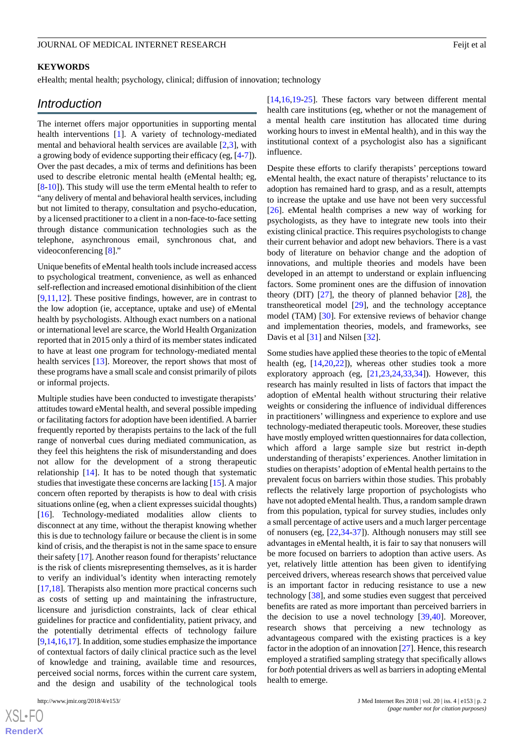#### **KEYWORDS**

eHealth; mental health; psychology, clinical; diffusion of innovation; technology

## *Introduction*

The internet offers major opportunities in supporting mental health interventions [[1\]](#page-10-0). A variety of technology-mediated mental and behavioral health services are available  $[2,3]$  $[2,3]$  $[2,3]$  $[2,3]$ , with a growing body of evidence supporting their efficacy (eg, [[4](#page-10-3)-[7\]](#page-10-4)). Over the past decades, a mix of terms and definitions has been used to describe eletronic mental health (eMental health; eg, [[8](#page-10-5)[-10](#page-10-6)]). This study will use the term eMental health to refer to "any delivery of mental and behavioral health services, including but not limited to therapy, consultation and psycho-education, by a licensed practitioner to a client in a non-face-to-face setting through distance communication technologies such as the telephone, asynchronous email, synchronous chat, and videoconferencing [[8\]](#page-10-5)."

Unique benefits of eMental health tools include increased access to psychological treatment, convenience, as well as enhanced self-reflection and increased emotional disinhibition of the client [[9](#page-10-7)[,11](#page-10-8),[12\]](#page-10-9). These positive findings, however, are in contrast to the low adoption (ie, acceptance, uptake and use) of eMental health by psychologists. Although exact numbers on a national or international level are scarce, the World Health Organization reported that in 2015 only a third of its member states indicated to have at least one program for technology-mediated mental health services [[13\]](#page-10-10). Moreover, the report shows that most of these programs have a small scale and consist primarily of pilots or informal projects.

Multiple studies have been conducted to investigate therapists' attitudes toward eMental health, and several possible impeding or facilitating factors for adoption have been identified. A barrier frequently reported by therapists pertains to the lack of the full range of nonverbal cues during mediated communication, as they feel this heightens the risk of misunderstanding and does not allow for the development of a strong therapeutic relationship [\[14](#page-10-11)]. It has to be noted though that systematic studies that investigate these concerns are lacking [[15\]](#page-10-12). A major concern often reported by therapists is how to deal with crisis situations online (eg, when a client expresses suicidal thoughts) [[16\]](#page-10-13). Technology-mediated modalities allow clients to disconnect at any time, without the therapist knowing whether this is due to technology failure or because the client is in some kind of crisis, and the therapist is not in the same space to ensure their safety [\[17](#page-10-14)]. Another reason found for therapists'reluctance is the risk of clients misrepresenting themselves, as it is harder to verify an individual's identity when interacting remotely [[17](#page-10-14)[,18](#page-10-15)]. Therapists also mention more practical concerns such as costs of setting up and maintaining the infrastructure, licensure and jurisdiction constraints, lack of clear ethical guidelines for practice and confidentiality, patient privacy, and the potentially detrimental effects of technology failure [[9,](#page-10-7)[14,](#page-10-11)[16](#page-10-13)[,17\]](#page-10-14). In addition, some studies emphasize the importance of contextual factors of daily clinical practice such as the level of knowledge and training, available time and resources, perceived social norms, forces within the current care system, and the design and usability of the technological tools

[XSL](http://www.w3.org/Style/XSL)•FO **[RenderX](http://www.renderx.com/)** [[14,](#page-10-11)[16,](#page-10-13)[19](#page-10-16)[-25](#page-11-0)]. These factors vary between different mental health care institutions (eg, whether or not the management of a mental health care institution has allocated time during working hours to invest in eMental health), and in this way the institutional context of a psychologist also has a significant influence.

Despite these efforts to clarify therapists' perceptions toward eMental health, the exact nature of therapists' reluctance to its adoption has remained hard to grasp, and as a result, attempts to increase the uptake and use have not been very successful [[26\]](#page-11-1). eMental health comprises a new way of working for psychologists, as they have to integrate new tools into their existing clinical practice. This requires psychologists to change their current behavior and adopt new behaviors. There is a vast body of literature on behavior change and the adoption of innovations, and multiple theories and models have been developed in an attempt to understand or explain influencing factors. Some prominent ones are the diffusion of innovation theory (DIT) [\[27](#page-11-2)], the theory of planned behavior [[28\]](#page-11-3), the transtheoretical model [\[29](#page-11-4)], and the technology acceptance model (TAM) [[30\]](#page-11-5). For extensive reviews of behavior change and implementation theories, models, and frameworks, see Davis et al [\[31](#page-11-6)] and Nilsen [[32\]](#page-11-7).

Some studies have applied these theories to the topic of eMental health (eg,  $[14,20,22]$  $[14,20,22]$  $[14,20,22]$  $[14,20,22]$  $[14,20,22]$ ), whereas other studies took a more exploratory approach (eg,  $[21,23,24,33,34]$  $[21,23,24,33,34]$  $[21,23,24,33,34]$  $[21,23,24,33,34]$  $[21,23,24,33,34]$  $[21,23,24,33,34]$  $[21,23,24,33,34]$ ). However, this research has mainly resulted in lists of factors that impact the adoption of eMental health without structuring their relative weights or considering the influence of individual differences in practitioners' willingness and experience to explore and use technology-mediated therapeutic tools. Moreover, these studies have mostly employed written questionnaires for data collection, which afford a large sample size but restrict in-depth understanding of therapists' experiences. Another limitation in studies on therapists' adoption of eMental health pertains to the prevalent focus on barriers within those studies. This probably reflects the relatively large proportion of psychologists who have not adopted eMental health. Thus, a random sample drawn from this population, typical for survey studies, includes only a small percentage of active users and a much larger percentage of nonusers (eg, [[22](#page-11-8)[,34](#page-11-12)-[37\]](#page-11-13)). Although nonusers may still see advantages in eMental health, it is fair to say that nonusers will be more focused on barriers to adoption than active users. As yet, relatively little attention has been given to identifying perceived drivers, whereas research shows that perceived value is an important factor in reducing resistance to use a new technology [[38\]](#page-11-14), and some studies even suggest that perceived benefits are rated as more important than perceived barriers in the decision to use a novel technology  $[39,40]$  $[39,40]$  $[39,40]$ . Moreover, research shows that perceiving a new technology as advantageous compared with the existing practices is a key factor in the adoption of an innovation [[27\]](#page-11-2). Hence, this research employed a stratified sampling strategy that specifically allows for *both* potential drivers as well as barriers in adopting eMental health to emerge.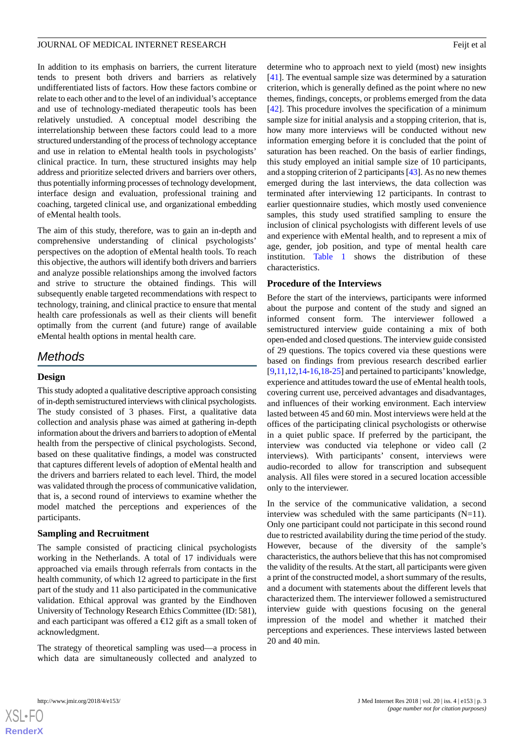In addition to its emphasis on barriers, the current literature tends to present both drivers and barriers as relatively undifferentiated lists of factors. How these factors combine or relate to each other and to the level of an individual's acceptance and use of technology-mediated therapeutic tools has been relatively unstudied. A conceptual model describing the interrelationship between these factors could lead to a more structured understanding of the process of technology acceptance and use in relation to eMental health tools in psychologists' clinical practice. In turn, these structured insights may help address and prioritize selected drivers and barriers over others, thus potentially informing processes of technology development, interface design and evaluation, professional training and coaching, targeted clinical use, and organizational embedding of eMental health tools.

The aim of this study, therefore, was to gain an in-depth and comprehensive understanding of clinical psychologists' perspectives on the adoption of eMental health tools. To reach this objective, the authors will identify both drivers and barriers and analyze possible relationships among the involved factors and strive to structure the obtained findings. This will subsequently enable targeted recommendations with respect to technology, training, and clinical practice to ensure that mental health care professionals as well as their clients will benefit optimally from the current (and future) range of available eMental health options in mental health care.

## *Methods*

## **Design**

This study adopted a qualitative descriptive approach consisting of in-depth semistructured interviews with clinical psychologists. The study consisted of 3 phases. First, a qualitative data collection and analysis phase was aimed at gathering in-depth information about the drivers and barriers to adoption of eMental health from the perspective of clinical psychologists. Second, based on these qualitative findings, a model was constructed that captures different levels of adoption of eMental health and the drivers and barriers related to each level. Third, the model was validated through the process of communicative validation, that is, a second round of interviews to examine whether the model matched the perceptions and experiences of the participants.

#### **Sampling and Recruitment**

The sample consisted of practicing clinical psychologists working in the Netherlands. A total of 17 individuals were approached via emails through referrals from contacts in the health community, of which 12 agreed to participate in the first part of the study and 11 also participated in the communicative validation. Ethical approval was granted by the Eindhoven University of Technology Research Ethics Committee (ID: 581), and each participant was offered a  $\bigoplus$  2 gift as a small token of acknowledgment.

The strategy of theoretical sampling was used—a process in which data are simultaneously collected and analyzed to

determine who to approach next to yield (most) new insights [[41\]](#page-11-17). The eventual sample size was determined by a saturation criterion, which is generally defined as the point where no new themes, findings, concepts, or problems emerged from the data [[42\]](#page-11-18). This procedure involves the specification of a minimum sample size for initial analysis and a stopping criterion, that is, how many more interviews will be conducted without new information emerging before it is concluded that the point of saturation has been reached. On the basis of earlier findings, this study employed an initial sample size of 10 participants, and a stopping criterion of 2 participants [[43](#page-11-19)]. As no new themes emerged during the last interviews, the data collection was terminated after interviewing 12 participants. In contrast to earlier questionnaire studies, which mostly used convenience samples, this study used stratified sampling to ensure the inclusion of clinical psychologists with different levels of use and experience with eMental health, and to represent a mix of age, gender, job position, and type of mental health care institution. [Table 1](#page-3-0) shows the distribution of these characteristics.

#### **Procedure of the Interviews**

Before the start of the interviews, participants were informed about the purpose and content of the study and signed an informed consent form. The interviewer followed a semistructured interview guide containing a mix of both open-ended and closed questions. The interview guide consisted of 29 questions. The topics covered via these questions were based on findings from previous research described earlier [[9](#page-10-7)[,11](#page-10-8),[12](#page-10-9),[14-](#page-10-11)[16](#page-10-13)[,18](#page-10-15)-[25](#page-11-0)] and pertained to participants'knowledge, experience and attitudes toward the use of eMental health tools, covering current use, perceived advantages and disadvantages, and influences of their working environment. Each interview lasted between 45 and 60 min. Most interviews were held at the offices of the participating clinical psychologists or otherwise in a quiet public space. If preferred by the participant, the interview was conducted via telephone or video call (2 interviews). With participants' consent, interviews were audio-recorded to allow for transcription and subsequent analysis. All files were stored in a secured location accessible only to the interviewer.

In the service of the communicative validation, a second interview was scheduled with the same participants (N=11). Only one participant could not participate in this second round due to restricted availability during the time period of the study. However, because of the diversity of the sample's characteristics, the authors believe that this has not compromised the validity of the results. At the start, all participants were given a print of the constructed model, a short summary of the results, and a document with statements about the different levels that characterized them. The interviewer followed a semistructured interview guide with questions focusing on the general impression of the model and whether it matched their perceptions and experiences. These interviews lasted between 20 and 40 min.



**[RenderX](http://www.renderx.com/)**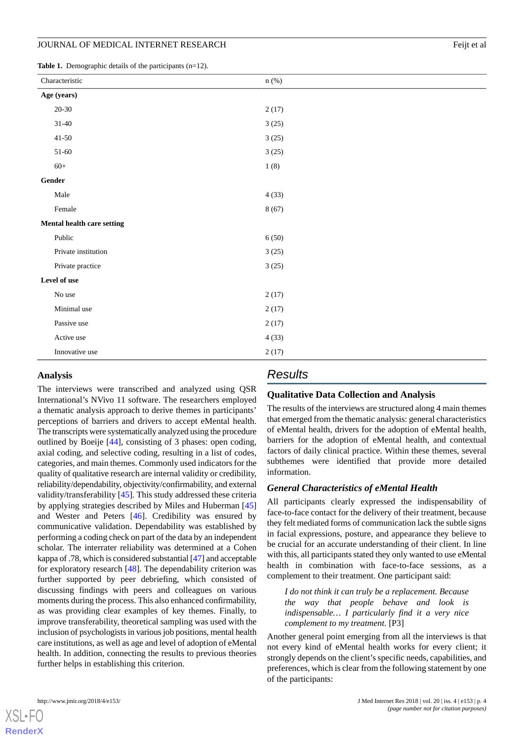<span id="page-3-0"></span>**Table 1.** Demographic details of the participants (n=12).

| Characteristic               | $n$ (%) |  |
|------------------------------|---------|--|
| Age (years)                  |         |  |
| $20 - 30$                    | 2(17)   |  |
| $31 - 40$                    | 3(25)   |  |
| $41 - 50$                    | 3(25)   |  |
| $51 - 60$                    | 3(25)   |  |
| $60+$                        | 1(8)    |  |
| $\operatorname{\sf{Gender}}$ |         |  |
| Male                         | 4(33)   |  |
| Female                       | 8(67)   |  |
| Mental health care setting   |         |  |
| Public                       | 6(50)   |  |
| Private institution          | 3(25)   |  |
| Private practice             | 3(25)   |  |
| Level of use                 |         |  |
| No use                       | 2(17)   |  |
| Minimal use                  | 2(17)   |  |
| Passive use                  | 2(17)   |  |
| Active use                   | 4(33)   |  |
| Innovative use               | 2(17)   |  |

#### **Analysis**

The interviews were transcribed and analyzed using QSR International's NVivo 11 software. The researchers employed a thematic analysis approach to derive themes in participants' perceptions of barriers and drivers to accept eMental health. The transcripts were systematically analyzed using the procedure outlined by Boeije [\[44](#page-11-20)], consisting of 3 phases: open coding, axial coding, and selective coding, resulting in a list of codes, categories, and main themes. Commonly used indicators for the quality of qualitative research are internal validity or credibility, reliability/dependability, objectivity/confirmability, and external validity/transferability [\[45](#page-11-21)]. This study addressed these criteria by applying strategies described by Miles and Huberman [\[45](#page-11-21)] and Wester and Peters [\[46](#page-11-22)]. Credibility was ensured by communicative validation. Dependability was established by performing a coding check on part of the data by an independent scholar. The interrater reliability was determined at a Cohen kappa of .78, which is considered substantial [\[47](#page-11-23)] and acceptable for exploratory research [\[48](#page-12-0)]. The dependability criterion was further supported by peer debriefing, which consisted of discussing findings with peers and colleagues on various moments during the process. This also enhanced confirmability, as was providing clear examples of key themes. Finally, to improve transferability, theoretical sampling was used with the inclusion of psychologists in various job positions, mental health care institutions, as well as age and level of adoption of eMental health. In addition, connecting the results to previous theories further helps in establishing this criterion.

## *Results*

#### **Qualitative Data Collection and Analysis**

The results of the interviews are structured along 4 main themes that emerged from the thematic analysis: general characteristics of eMental health, drivers for the adoption of eMental health, barriers for the adoption of eMental health, and contextual factors of daily clinical practice. Within these themes, several subthemes were identified that provide more detailed information.

#### *General Characteristics of eMental Health*

All participants clearly expressed the indispensability of face-to-face contact for the delivery of their treatment, because they felt mediated forms of communication lack the subtle signs in facial expressions, posture, and appearance they believe to be crucial for an accurate understanding of their client. In line with this, all participants stated they only wanted to use eMental health in combination with face-to-face sessions, as a complement to their treatment. One participant said:

*I do not think it can truly be a replacement. Because the way that people behave and look is indispensable… I particularly find it a very nice complement to my treatment.* [P3]

Another general point emerging from all the interviews is that not every kind of eMental health works for every client; it strongly depends on the client's specific needs, capabilities, and preferences, which is clear from the following statement by one of the participants: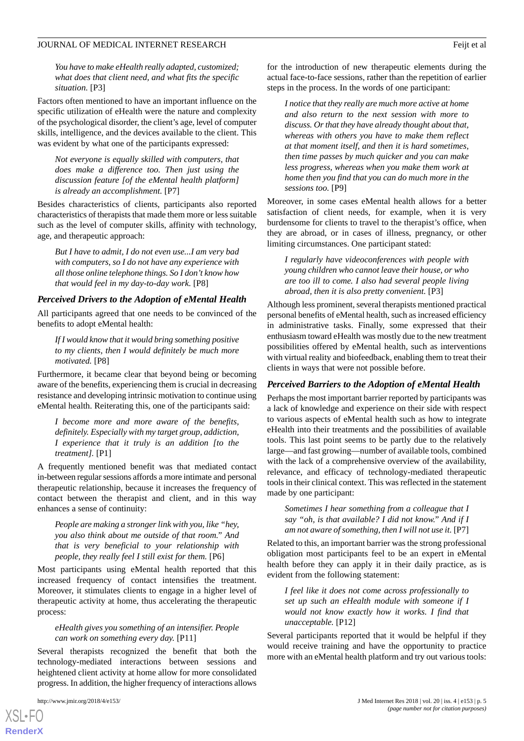*You have to make eHealth really adapted, customized; what does that client need, and what fits the specific situation.* [P3]

Factors often mentioned to have an important influence on the specific utilization of eHealth were the nature and complexity of the psychological disorder, the client's age, level of computer skills, intelligence, and the devices available to the client. This was evident by what one of the participants expressed:

*Not everyone is equally skilled with computers, that does make a difference too. Then just using the discussion feature [of the eMental health platform] is already an accomplishment.* [P7]

Besides characteristics of clients, participants also reported characteristics of therapists that made them more or less suitable such as the level of computer skills, affinity with technology, age, and therapeutic approach:

*But I have to admit, I do not even use...I am very bad with computers, so I do not have any experience with all those online telephone things. So I don't know how that would feel in my day-to-day work.* [P8]

#### *Perceived Drivers to the Adoption of eMental Health*

All participants agreed that one needs to be convinced of the benefits to adopt eMental health:

*If I would know that it would bring something positive to my clients, then I would definitely be much more motivated.* [P8]

Furthermore, it became clear that beyond being or becoming aware of the benefits, experiencing them is crucial in decreasing resistance and developing intrinsic motivation to continue using eMental health. Reiterating this, one of the participants said:

*I become more and more aware of the benefits, definitely. Especially with my target group, addiction, I experience that it truly is an addition [to the treatment].* [P1]

A frequently mentioned benefit was that mediated contact in-between regular sessions affords a more intimate and personal therapeutic relationship, because it increases the frequency of contact between the therapist and client, and in this way enhances a sense of continuity:

*People are making a stronger link with you, like "hey, you also think about me outside of that room." And that is very beneficial to your relationship with people, they really feel I still exist for them.* [P6]

Most participants using eMental health reported that this increased frequency of contact intensifies the treatment. Moreover, it stimulates clients to engage in a higher level of therapeutic activity at home, thus accelerating the therapeutic process:

#### *eHealth gives you something of an intensifier. People can work on something every day.* [P11]

Several therapists recognized the benefit that both the technology-mediated interactions between sessions and heightened client activity at home allow for more consolidated progress. In addition, the higher frequency of interactions allows

[XSL](http://www.w3.org/Style/XSL)•FO **[RenderX](http://www.renderx.com/)**

for the introduction of new therapeutic elements during the actual face-to-face sessions, rather than the repetition of earlier steps in the process. In the words of one participant:

*I notice that they really are much more active at home and also return to the next session with more to discuss. Or that they have already thought about that, whereas with others you have to make them reflect at that moment itself, and then it is hard sometimes, then time passes by much quicker and you can make less progress, whereas when you make them work at home then you find that you can do much more in the sessions too.* [P9]

Moreover, in some cases eMental health allows for a better satisfaction of client needs, for example, when it is very burdensome for clients to travel to the therapist's office, when they are abroad, or in cases of illness, pregnancy, or other limiting circumstances. One participant stated:

*I regularly have videoconferences with people with young children who cannot leave their house, or who are too ill to come. I also had several people living abroad, then it is also pretty convenient.* [P3]

Although less prominent, several therapists mentioned practical personal benefits of eMental health, such as increased efficiency in administrative tasks. Finally, some expressed that their enthusiasm toward eHealth was mostly due to the new treatment possibilities offered by eMental health, such as interventions with virtual reality and biofeedback, enabling them to treat their clients in ways that were not possible before.

#### *Perceived Barriers to the Adoption of eMental Health*

Perhaps the most important barrier reported by participants was a lack of knowledge and experience on their side with respect to various aspects of eMental health such as how to integrate eHealth into their treatments and the possibilities of available tools. This last point seems to be partly due to the relatively large—and fast growing—number of available tools, combined with the lack of a comprehensive overview of the availability, relevance, and efficacy of technology-mediated therapeutic tools in their clinical context. This was reflected in the statement made by one participant:

*Sometimes I hear something from a colleague that I say "oh, is that available? I did not know." And if I am not aware of something, then I will not use it.* [P7]

Related to this, an important barrier was the strong professional obligation most participants feel to be an expert in eMental health before they can apply it in their daily practice, as is evident from the following statement:

*I feel like it does not come across professionally to set up such an eHealth module with someone if I would not know exactly how it works. I find that unacceptable.* [P12]

Several participants reported that it would be helpful if they would receive training and have the opportunity to practice more with an eMental health platform and try out various tools: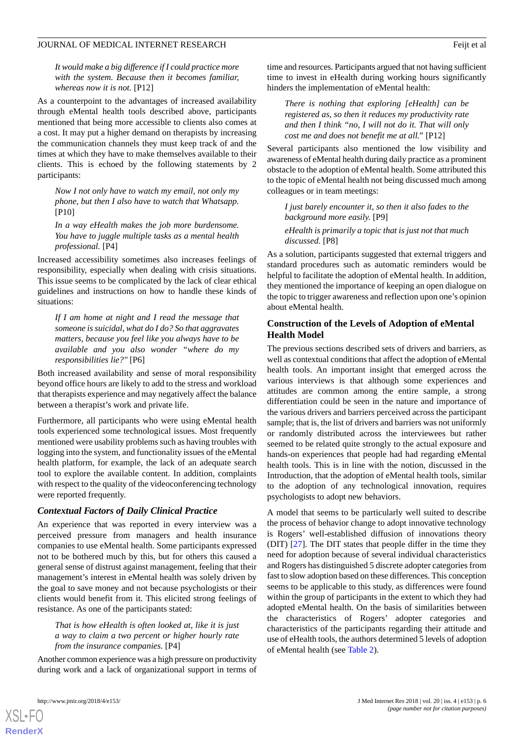*It would make a big difference if I could practice more with the system. Because then it becomes familiar, whereas now it is not.* [P12]

As a counterpoint to the advantages of increased availability through eMental health tools described above, participants mentioned that being more accessible to clients also comes at a cost. It may put a higher demand on therapists by increasing the communication channels they must keep track of and the times at which they have to make themselves available to their clients. This is echoed by the following statements by 2 participants:

*Now I not only have to watch my email, not only my phone, but then I also have to watch that Whatsapp.* [P10]

*In a way eHealth makes the job more burdensome. You have to juggle multiple tasks as a mental health professional.* [P4]

Increased accessibility sometimes also increases feelings of responsibility, especially when dealing with crisis situations. This issue seems to be complicated by the lack of clear ethical guidelines and instructions on how to handle these kinds of situations:

*If I am home at night and I read the message that someone is suicidal, what do I do? So that aggravates matters, because you feel like you always have to be available and you also wonder "where do my responsibilities lie?"* [P6]

Both increased availability and sense of moral responsibility beyond office hours are likely to add to the stress and workload that therapists experience and may negatively affect the balance between a therapist's work and private life.

Furthermore, all participants who were using eMental health tools experienced some technological issues. Most frequently mentioned were usability problems such as having troubles with logging into the system, and functionality issues of the eMental health platform, for example, the lack of an adequate search tool to explore the available content. In addition, complaints with respect to the quality of the videoconferencing technology were reported frequently.

#### *Contextual Factors of Daily Clinical Practice*

An experience that was reported in every interview was a perceived pressure from managers and health insurance companies to use eMental health. Some participants expressed not to be bothered much by this, but for others this caused a general sense of distrust against management, feeling that their management's interest in eMental health was solely driven by the goal to save money and not because psychologists or their clients would benefit from it. This elicited strong feelings of resistance. As one of the participants stated:

*That is how eHealth is often looked at, like it is just a way to claim a two percent or higher hourly rate from the insurance companies.* [P4]

Another common experience was a high pressure on productivity during work and a lack of organizational support in terms of time and resources. Participants argued that not having sufficient time to invest in eHealth during working hours significantly hinders the implementation of eMental health:

*There is nothing that exploring [eHealth] can be registered as, so then it reduces my productivity rate and then I think "no, I will not do it. That will only cost me and does not benefit me at all."* [P12]

Several participants also mentioned the low visibility and awareness of eMental health during daily practice as a prominent obstacle to the adoption of eMental health. Some attributed this to the topic of eMental health not being discussed much among colleagues or in team meetings:

*I just barely encounter it, so then it also fades to the background more easily.* [P9] *eHealth is primarily a topic that is just not that much*

*discussed.* [P8]

As a solution, participants suggested that external triggers and standard procedures such as automatic reminders would be helpful to facilitate the adoption of eMental health. In addition, they mentioned the importance of keeping an open dialogue on the topic to trigger awareness and reflection upon one's opinion about eMental health.

## **Construction of the Levels of Adoption of eMental Health Model**

The previous sections described sets of drivers and barriers, as well as contextual conditions that affect the adoption of eMental health tools. An important insight that emerged across the various interviews is that although some experiences and attitudes are common among the entire sample, a strong differentiation could be seen in the nature and importance of the various drivers and barriers perceived across the participant sample; that is, the list of drivers and barriers was not uniformly or randomly distributed across the interviewees but rather seemed to be related quite strongly to the actual exposure and hands-on experiences that people had had regarding eMental health tools. This is in line with the notion, discussed in the Introduction, that the adoption of eMental health tools, similar to the adoption of any technological innovation, requires psychologists to adopt new behaviors.

A model that seems to be particularly well suited to describe the process of behavior change to adopt innovative technology is Rogers' well-established diffusion of innovations theory (DIT) [\[27](#page-11-2)]. The DIT states that people differ in the time they need for adoption because of several individual characteristics and Rogers has distinguished 5 discrete adopter categories from fast to slow adoption based on these differences. This conception seems to be applicable to this study, as differences were found within the group of participants in the extent to which they had adopted eMental health. On the basis of similarities between the characteristics of Rogers' adopter categories and characteristics of the participants regarding their attitude and use of eHealth tools, the authors determined 5 levels of adoption of eMental health (see [Table 2\)](#page-6-0).

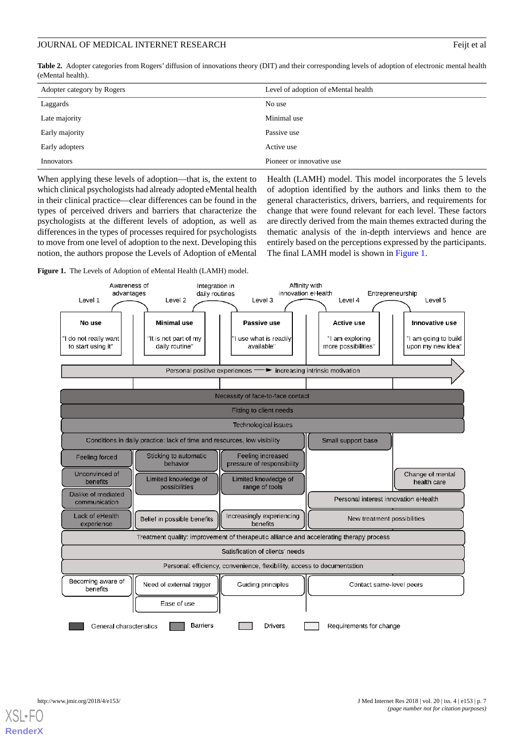<span id="page-6-0"></span>Table 2. Adopter categories from Rogers' diffusion of innovations theory (DIT) and their corresponding levels of adoption of electronic mental health (eMental health).

| Adopter category by Rogers | Level of adoption of eMental health |
|----------------------------|-------------------------------------|
| Laggards                   | No use                              |
| Late majority              | Minimal use                         |
| Early majority             | Passive use                         |
| Early adopters             | Active use                          |
| Innovators                 | Pioneer or innovative use           |

When applying these levels of adoption—that is, the extent to which clinical psychologists had already adopted eMental health in their clinical practice—clear differences can be found in the types of perceived drivers and barriers that characterize the psychologists at the different levels of adoption, as well as differences in the types of processes required for psychologists to move from one level of adoption to the next. Developing this notion, the authors propose the Levels of Adoption of eMental

<span id="page-6-1"></span>**Figure 1.** The Levels of Adoption of eMental Health (LAMH) model.

Health (LAMH) model. This model incorporates the 5 levels of adoption identified by the authors and links them to the general characteristics, drivers, barriers, and requirements for change that were found relevant for each level. These factors are directly derived from the main themes extracted during the thematic analysis of the in-depth interviews and hence are entirely based on the perceptions expressed by the participants. The final LAMH model is shown in [Figure 1](#page-6-1).

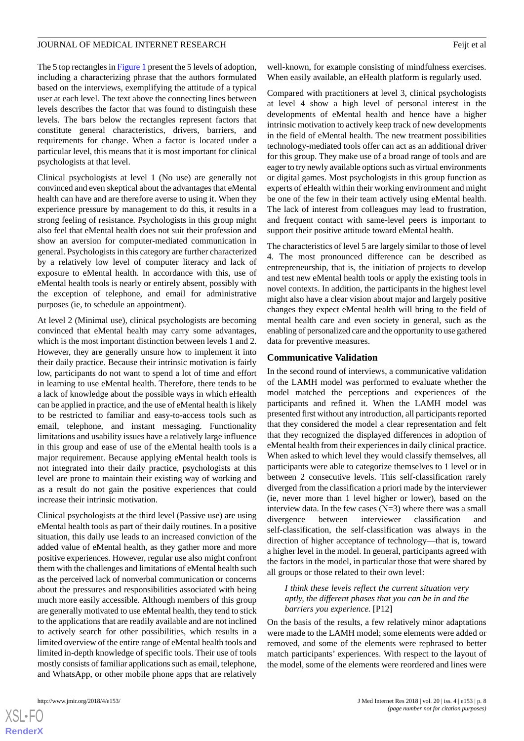The 5 top rectangles in [Figure 1](#page-6-1) present the 5 levels of adoption, including a characterizing phrase that the authors formulated based on the interviews, exemplifying the attitude of a typical user at each level. The text above the connecting lines between levels describes the factor that was found to distinguish these levels. The bars below the rectangles represent factors that constitute general characteristics, drivers, barriers, and requirements for change. When a factor is located under a particular level, this means that it is most important for clinical psychologists at that level.

Clinical psychologists at level 1 (No use) are generally not convinced and even skeptical about the advantages that eMental health can have and are therefore averse to using it. When they experience pressure by management to do this, it results in a strong feeling of resistance. Psychologists in this group might also feel that eMental health does not suit their profession and show an aversion for computer-mediated communication in general. Psychologists in this category are further characterized by a relatively low level of computer literacy and lack of exposure to eMental health. In accordance with this, use of eMental health tools is nearly or entirely absent, possibly with the exception of telephone, and email for administrative purposes (ie, to schedule an appointment).

At level 2 (Minimal use), clinical psychologists are becoming convinced that eMental health may carry some advantages, which is the most important distinction between levels 1 and 2. However, they are generally unsure how to implement it into their daily practice. Because their intrinsic motivation is fairly low, participants do not want to spend a lot of time and effort in learning to use eMental health. Therefore, there tends to be a lack of knowledge about the possible ways in which eHealth can be applied in practice, and the use of eMental health is likely to be restricted to familiar and easy-to-access tools such as email, telephone, and instant messaging. Functionality limitations and usability issues have a relatively large influence in this group and ease of use of the eMental health tools is a major requirement. Because applying eMental health tools is not integrated into their daily practice, psychologists at this level are prone to maintain their existing way of working and as a result do not gain the positive experiences that could increase their intrinsic motivation.

Clinical psychologists at the third level (Passive use) are using eMental health tools as part of their daily routines. In a positive situation, this daily use leads to an increased conviction of the added value of eMental health, as they gather more and more positive experiences. However, regular use also might confront them with the challenges and limitations of eMental health such as the perceived lack of nonverbal communication or concerns about the pressures and responsibilities associated with being much more easily accessible. Although members of this group are generally motivated to use eMental health, they tend to stick to the applications that are readily available and are not inclined to actively search for other possibilities, which results in a limited overview of the entire range of eMental health tools and limited in-depth knowledge of specific tools. Their use of tools mostly consists of familiar applications such as email, telephone, and WhatsApp, or other mobile phone apps that are relatively

well-known, for example consisting of mindfulness exercises. When easily available, an eHealth platform is regularly used.

Compared with practitioners at level 3, clinical psychologists at level 4 show a high level of personal interest in the developments of eMental health and hence have a higher intrinsic motivation to actively keep track of new developments in the field of eMental health. The new treatment possibilities technology-mediated tools offer can act as an additional driver for this group. They make use of a broad range of tools and are eager to try newly available options such as virtual environments or digital games. Most psychologists in this group function as experts of eHealth within their working environment and might be one of the few in their team actively using eMental health. The lack of interest from colleagues may lead to frustration, and frequent contact with same-level peers is important to support their positive attitude toward eMental health.

The characteristics of level 5 are largely similar to those of level 4. The most pronounced difference can be described as entrepreneurship, that is, the initiation of projects to develop and test new eMental health tools or apply the existing tools in novel contexts. In addition, the participants in the highest level might also have a clear vision about major and largely positive changes they expect eMental health will bring to the field of mental health care and even society in general, such as the enabling of personalized care and the opportunity to use gathered data for preventive measures.

#### **Communicative Validation**

In the second round of interviews, a communicative validation of the LAMH model was performed to evaluate whether the model matched the perceptions and experiences of the participants and refined it. When the LAMH model was presented first without any introduction, all participants reported that they considered the model a clear representation and felt that they recognized the displayed differences in adoption of eMental health from their experiences in daily clinical practice. When asked to which level they would classify themselves, all participants were able to categorize themselves to 1 level or in between 2 consecutive levels. This self-classification rarely diverged from the classification a priori made by the interviewer (ie, never more than 1 level higher or lower), based on the interview data. In the few cases  $(N=3)$  where there was a small divergence between interviewer classification and self-classification, the self-classification was always in the direction of higher acceptance of technology—that is, toward a higher level in the model. In general, participants agreed with the factors in the model, in particular those that were shared by all groups or those related to their own level:

*I think these levels reflect the current situation very aptly, the different phases that you can be in and the barriers you experience.* [P12]

On the basis of the results, a few relatively minor adaptations were made to the LAMH model; some elements were added or removed, and some of the elements were rephrased to better match participants' experiences. With respect to the layout of the model, some of the elements were reordered and lines were

 $XS$ -FO **[RenderX](http://www.renderx.com/)**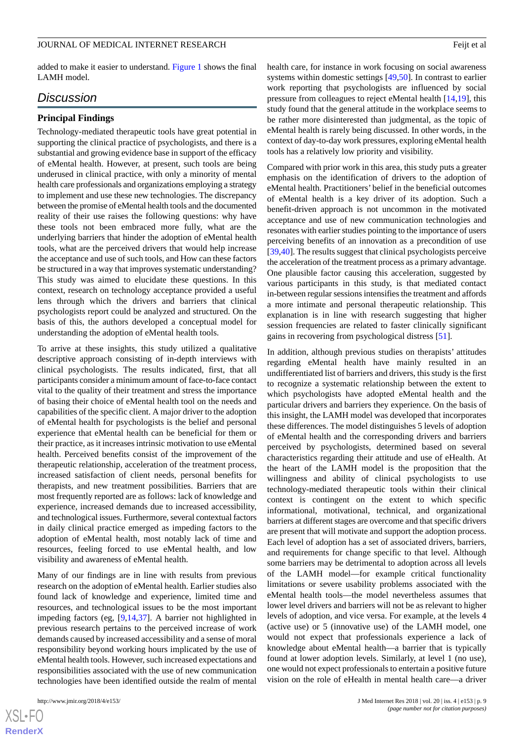added to make it easier to understand. [Figure 1](#page-6-1) shows the final LAMH model.

## *Discussion*

#### **Principal Findings**

Technology-mediated therapeutic tools have great potential in supporting the clinical practice of psychologists, and there is a substantial and growing evidence base in support of the efficacy of eMental health. However, at present, such tools are being underused in clinical practice, with only a minority of mental health care professionals and organizations employing a strategy to implement and use these new technologies. The discrepancy between the promise of eMental health tools and the documented reality of their use raises the following questions: why have these tools not been embraced more fully, what are the underlying barriers that hinder the adoption of eMental health tools, what are the perceived drivers that would help increase the acceptance and use of such tools, and How can these factors be structured in a way that improves systematic understanding? This study was aimed to elucidate these questions. In this context, research on technology acceptance provided a useful lens through which the drivers and barriers that clinical psychologists report could be analyzed and structured. On the basis of this, the authors developed a conceptual model for understanding the adoption of eMental health tools.

To arrive at these insights, this study utilized a qualitative descriptive approach consisting of in-depth interviews with clinical psychologists. The results indicated, first, that all participants consider a minimum amount of face-to-face contact vital to the quality of their treatment and stress the importance of basing their choice of eMental health tool on the needs and capabilities of the specific client. A major driver to the adoption of eMental health for psychologists is the belief and personal experience that eMental health can be beneficial for them or their practice, as it increases intrinsic motivation to use eMental health. Perceived benefits consist of the improvement of the therapeutic relationship, acceleration of the treatment process, increased satisfaction of client needs, personal benefits for therapists, and new treatment possibilities. Barriers that are most frequently reported are as follows: lack of knowledge and experience, increased demands due to increased accessibility, and technological issues. Furthermore, several contextual factors in daily clinical practice emerged as impeding factors to the adoption of eMental health, most notably lack of time and resources, feeling forced to use eMental health, and low visibility and awareness of eMental health.

Many of our findings are in line with results from previous research on the adoption of eMental health. Earlier studies also found lack of knowledge and experience, limited time and resources, and technological issues to be the most important impeding factors (eg, [\[9](#page-10-7),[14,](#page-10-11)[37](#page-11-13)]. A barrier not highlighted in previous research pertains to the perceived increase of work demands caused by increased accessibility and a sense of moral responsibility beyond working hours implicated by the use of eMental health tools. However, such increased expectations and responsibilities associated with the use of new communication technologies have been identified outside the realm of mental

health care, for instance in work focusing on social awareness systems within domestic settings [[49,](#page-12-1)[50\]](#page-12-2). In contrast to earlier work reporting that psychologists are influenced by social pressure from colleagues to reject eMental health [\[14](#page-10-11),[19\]](#page-10-16), this study found that the general attitude in the workplace seems to be rather more disinterested than judgmental, as the topic of eMental health is rarely being discussed. In other words, in the context of day-to-day work pressures, exploring eMental health tools has a relatively low priority and visibility.

Compared with prior work in this area, this study puts a greater emphasis on the identification of drivers to the adoption of eMental health. Practitioners' belief in the beneficial outcomes of eMental health is a key driver of its adoption. Such a benefit-driven approach is not uncommon in the motivated acceptance and use of new communication technologies and resonates with earlier studies pointing to the importance of users perceiving benefits of an innovation as a precondition of use [[39,](#page-11-15)[40\]](#page-11-16). The results suggest that clinical psychologists perceive the acceleration of the treatment process as a primary advantage. One plausible factor causing this acceleration, suggested by various participants in this study, is that mediated contact in-between regular sessions intensifies the treatment and affords a more intimate and personal therapeutic relationship. This explanation is in line with research suggesting that higher session frequencies are related to faster clinically significant gains in recovering from psychological distress [\[51](#page-12-3)].

In addition, although previous studies on therapists' attitudes regarding eMental health have mainly resulted in an undifferentiated list of barriers and drivers, this study is the first to recognize a systematic relationship between the extent to which psychologists have adopted eMental health and the particular drivers and barriers they experience. On the basis of this insight, the LAMH model was developed that incorporates these differences. The model distinguishes 5 levels of adoption of eMental health and the corresponding drivers and barriers perceived by psychologists, determined based on several characteristics regarding their attitude and use of eHealth. At the heart of the LAMH model is the proposition that the willingness and ability of clinical psychologists to use technology-mediated therapeutic tools within their clinical context is contingent on the extent to which specific informational, motivational, technical, and organizational barriers at different stages are overcome and that specific drivers are present that will motivate and support the adoption process. Each level of adoption has a set of associated drivers, barriers, and requirements for change specific to that level. Although some barriers may be detrimental to adoption across all levels of the LAMH model—for example critical functionality limitations or severe usability problems associated with the eMental health tools—the model nevertheless assumes that lower level drivers and barriers will not be as relevant to higher levels of adoption, and vice versa. For example, at the levels 4 (active use) or 5 (innovative use) of the LAMH model, one would not expect that professionals experience a lack of knowledge about eMental health—a barrier that is typically found at lower adoption levels. Similarly, at level 1 (no use), one would not expect professionals to entertain a positive future vision on the role of eHealth in mental health care—a driver

 $XS$ -FO **[RenderX](http://www.renderx.com/)**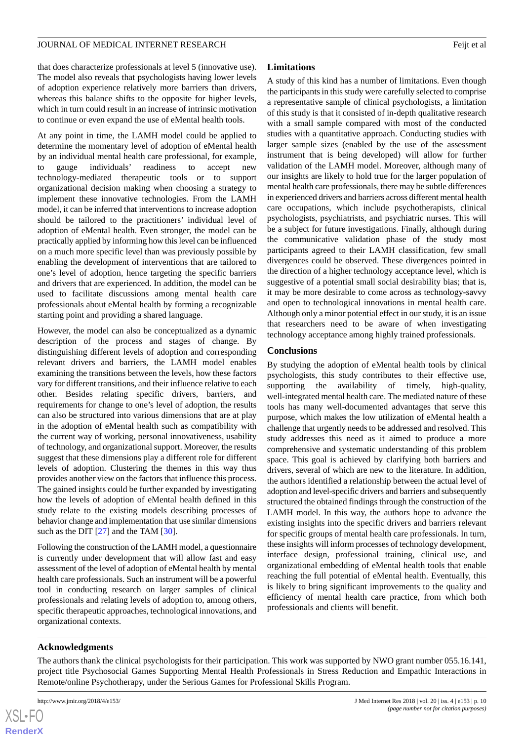that does characterize professionals at level 5 (innovative use). The model also reveals that psychologists having lower levels of adoption experience relatively more barriers than drivers, whereas this balance shifts to the opposite for higher levels, which in turn could result in an increase of intrinsic motivation to continue or even expand the use of eMental health tools.

At any point in time, the LAMH model could be applied to determine the momentary level of adoption of eMental health by an individual mental health care professional, for example, to gauge individuals' readiness to accept new technology-mediated therapeutic tools or to support organizational decision making when choosing a strategy to implement these innovative technologies. From the LAMH model, it can be inferred that interventions to increase adoption should be tailored to the practitioners' individual level of adoption of eMental health. Even stronger, the model can be practically applied by informing how this level can be influenced on a much more specific level than was previously possible by enabling the development of interventions that are tailored to one's level of adoption, hence targeting the specific barriers and drivers that are experienced. In addition, the model can be used to facilitate discussions among mental health care professionals about eMental health by forming a recognizable starting point and providing a shared language.

However, the model can also be conceptualized as a dynamic description of the process and stages of change. By distinguishing different levels of adoption and corresponding relevant drivers and barriers, the LAMH model enables examining the transitions between the levels, how these factors vary for different transitions, and their influence relative to each other. Besides relating specific drivers, barriers, and requirements for change to one's level of adoption, the results can also be structured into various dimensions that are at play in the adoption of eMental health such as compatibility with the current way of working, personal innovativeness, usability of technology, and organizational support. Moreover, the results suggest that these dimensions play a different role for different levels of adoption. Clustering the themes in this way thus provides another view on the factors that influence this process. The gained insights could be further expanded by investigating how the levels of adoption of eMental health defined in this study relate to the existing models describing processes of behavior change and implementation that use similar dimensions such as the DIT [\[27](#page-11-2)] and the TAM [\[30](#page-11-5)].

Following the construction of the LAMH model, a questionnaire is currently under development that will allow fast and easy assessment of the level of adoption of eMental health by mental health care professionals. Such an instrument will be a powerful tool in conducting research on larger samples of clinical professionals and relating levels of adoption to, among others, specific therapeutic approaches, technological innovations, and organizational contexts.

## **Limitations**

A study of this kind has a number of limitations. Even though the participants in this study were carefully selected to comprise a representative sample of clinical psychologists, a limitation of this study is that it consisted of in-depth qualitative research with a small sample compared with most of the conducted studies with a quantitative approach. Conducting studies with larger sample sizes (enabled by the use of the assessment instrument that is being developed) will allow for further validation of the LAMH model. Moreover, although many of our insights are likely to hold true for the larger population of mental health care professionals, there may be subtle differences in experienced drivers and barriers across different mental health care occupations, which include psychotherapists, clinical psychologists, psychiatrists, and psychiatric nurses. This will be a subject for future investigations. Finally, although during the communicative validation phase of the study most participants agreed to their LAMH classification, few small divergences could be observed. These divergences pointed in the direction of a higher technology acceptance level, which is suggestive of a potential small social desirability bias; that is, it may be more desirable to come across as technology-savvy and open to technological innovations in mental health care. Although only a minor potential effect in our study, it is an issue that researchers need to be aware of when investigating technology acceptance among highly trained professionals.

## **Conclusions**

By studying the adoption of eMental health tools by clinical psychologists, this study contributes to their effective use, supporting the availability of timely, high-quality, well-integrated mental health care. The mediated nature of these tools has many well-documented advantages that serve this purpose, which makes the low utilization of eMental health a challenge that urgently needs to be addressed and resolved. This study addresses this need as it aimed to produce a more comprehensive and systematic understanding of this problem space. This goal is achieved by clarifying both barriers and drivers, several of which are new to the literature. In addition, the authors identified a relationship between the actual level of adoption and level-specific drivers and barriers and subsequently structured the obtained findings through the construction of the LAMH model. In this way, the authors hope to advance the existing insights into the specific drivers and barriers relevant for specific groups of mental health care professionals. In turn, these insights will inform processes of technology development, interface design, professional training, clinical use, and organizational embedding of eMental health tools that enable reaching the full potential of eMental health. Eventually, this is likely to bring significant improvements to the quality and efficiency of mental health care practice, from which both professionals and clients will benefit.

## **Acknowledgments**

The authors thank the clinical psychologists for their participation. This work was supported by NWO grant number 055.16.141, project title Psychosocial Games Supporting Mental Health Professionals in Stress Reduction and Empathic Interactions in Remote/online Psychotherapy, under the Serious Games for Professional Skills Program.

```
XS-FO
RenderX
```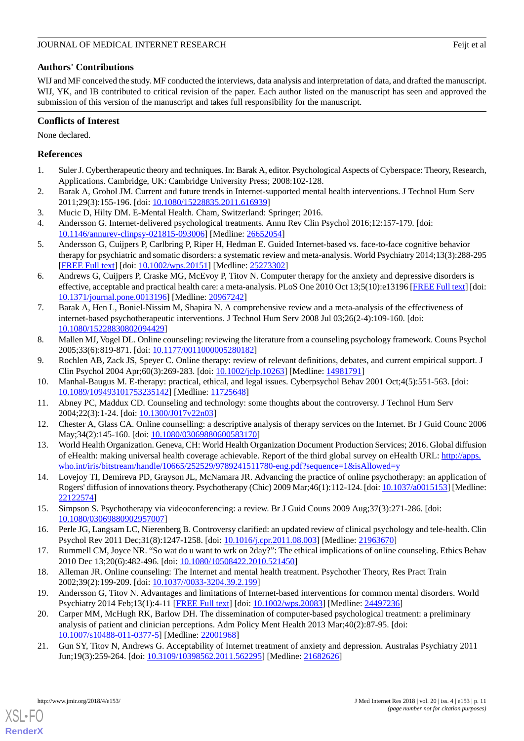## **Authors' Contributions**

WIJ and MF conceived the study. MF conducted the interviews, data analysis and interpretation of data, and drafted the manuscript. WIJ, YK, and IB contributed to critical revision of the paper. Each author listed on the manuscript has seen and approved the submission of this version of the manuscript and takes full responsibility for the manuscript.

## **Conflicts of Interest**

None declared.

## <span id="page-10-0"></span>**References**

- <span id="page-10-1"></span>1. Suler J. Cybertherapeutic theory and techniques. In: Barak A, editor. Psychological Aspects of Cyberspace: Theory, Research, Applications. Cambridge, UK: Cambridge University Press; 2008:102-128.
- <span id="page-10-3"></span><span id="page-10-2"></span>2. Barak A, Grohol JM. Current and future trends in Internet-supported mental health interventions. J Technol Hum Serv 2011;29(3):155-196. [doi: [10.1080/15228835.2011.616939\]](http://dx.doi.org/10.1080/15228835.2011.616939)
- 3. Mucic D, Hilty DM. E-Mental Health. Cham, Switzerland: Springer; 2016.
- 4. Andersson G. Internet-delivered psychological treatments. Annu Rev Clin Psychol 2016;12:157-179. [doi: [10.1146/annurev-clinpsy-021815-093006\]](http://dx.doi.org/10.1146/annurev-clinpsy-021815-093006) [Medline: [26652054](http://www.ncbi.nlm.nih.gov/entrez/query.fcgi?cmd=Retrieve&db=PubMed&list_uids=26652054&dopt=Abstract)]
- 5. Andersson G, Cuijpers P, Carlbring P, Riper H, Hedman E. Guided Internet-based vs. face-to-face cognitive behavior therapy for psychiatric and somatic disorders: a systematic review and meta-analysis. World Psychiatry 2014;13(3):288-295 [[FREE Full text](http://dx.doi.org/10.1002/wps.20151)] [doi: [10.1002/wps.20151](http://dx.doi.org/10.1002/wps.20151)] [Medline: [25273302](http://www.ncbi.nlm.nih.gov/entrez/query.fcgi?cmd=Retrieve&db=PubMed&list_uids=25273302&dopt=Abstract)]
- <span id="page-10-4"></span>6. Andrews G, Cuijpers P, Craske MG, McEvoy P, Titov N. Computer therapy for the anxiety and depressive disorders is effective, acceptable and practical health care: a meta-analysis. PLoS One 2010 Oct 13;5(10):e13196 [\[FREE Full text\]](http://dx.plos.org/10.1371/journal.pone.0013196) [doi: [10.1371/journal.pone.0013196\]](http://dx.doi.org/10.1371/journal.pone.0013196) [Medline: [20967242](http://www.ncbi.nlm.nih.gov/entrez/query.fcgi?cmd=Retrieve&db=PubMed&list_uids=20967242&dopt=Abstract)]
- <span id="page-10-5"></span>7. Barak A, Hen L, Boniel-Nissim M, Shapira N. A comprehensive review and a meta-analysis of the effectiveness of internet-based psychotherapeutic interventions. J Technol Hum Serv 2008 Jul 03;26(2-4):109-160. [doi: [10.1080/15228830802094429\]](http://dx.doi.org/10.1080/15228830802094429)
- <span id="page-10-7"></span><span id="page-10-6"></span>8. Mallen MJ, Vogel DL. Online counseling: reviewing the literature from a counseling psychology framework. Couns Psychol 2005;33(6):819-871. [doi: [10.1177/0011000005280182\]](http://dx.doi.org/10.1177/0011000005280182)
- <span id="page-10-8"></span>9. Rochlen AB, Zack JS, Speyer C. Online therapy: review of relevant definitions, debates, and current empirical support. J Clin Psychol 2004 Apr;60(3):269-283. [doi: [10.1002/jclp.10263](http://dx.doi.org/10.1002/jclp.10263)] [Medline: [14981791\]](http://www.ncbi.nlm.nih.gov/entrez/query.fcgi?cmd=Retrieve&db=PubMed&list_uids=14981791&dopt=Abstract)
- <span id="page-10-9"></span>10. Manhal-Baugus M. E-therapy: practical, ethical, and legal issues. Cyberpsychol Behav 2001 Oct;4(5):551-563. [doi: [10.1089/109493101753235142\]](http://dx.doi.org/10.1089/109493101753235142) [Medline: [11725648\]](http://www.ncbi.nlm.nih.gov/entrez/query.fcgi?cmd=Retrieve&db=PubMed&list_uids=11725648&dopt=Abstract)
- <span id="page-10-10"></span>11. Abney PC, Maddux CD. Counseling and technology: some thoughts about the controversy. J Technol Hum Serv 2004;22(3):1-24. [doi: [10.1300/J017v22n03\]](http://dx.doi.org/10.1300/J017v22n03)
- <span id="page-10-11"></span>12. Chester A, Glass CA. Online counselling: a descriptive analysis of therapy services on the Internet. Br J Guid Counc 2006 May;34(2):145-160. [doi: [10.1080/03069880600583170](http://dx.doi.org/10.1080/03069880600583170)]
- <span id="page-10-12"></span>13. World Health Organization. Geneva, CH: World Health Organization Document Production Services; 2016. Global diffusion of eHealth: making universal health coverage achievable. Report of the third global survey on eHealth URL: [http://apps.](http://apps.who.int/iris/bitstream/handle/10665/252529/9789241511780-eng.pdf?sequence=1&isAllowed=y) [who.int/iris/bitstream/handle/10665/252529/9789241511780-eng.pdf?sequence=1&isAllowed=y](http://apps.who.int/iris/bitstream/handle/10665/252529/9789241511780-eng.pdf?sequence=1&isAllowed=y)
- <span id="page-10-13"></span>14. Lovejoy TI, Demireva PD, Grayson JL, McNamara JR. Advancing the practice of online psychotherapy: an application of Rogers' diffusion of innovations theory. Psychotherapy (Chic) 2009 Mar;46(1):112-124. [doi: [10.1037/a0015153](http://dx.doi.org/10.1037/a0015153)] [Medline: [22122574](http://www.ncbi.nlm.nih.gov/entrez/query.fcgi?cmd=Retrieve&db=PubMed&list_uids=22122574&dopt=Abstract)]
- <span id="page-10-15"></span><span id="page-10-14"></span>15. Simpson S. Psychotherapy via videoconferencing: a review. Br J Guid Couns 2009 Aug;37(3):271-286. [doi: [10.1080/03069880902957007\]](http://dx.doi.org/10.1080/03069880902957007)
- <span id="page-10-16"></span>16. Perle JG, Langsam LC, Nierenberg B. Controversy clarified: an updated review of clinical psychology and tele-health. Clin Psychol Rev 2011 Dec;31(8):1247-1258. [doi: [10.1016/j.cpr.2011.08.003\]](http://dx.doi.org/10.1016/j.cpr.2011.08.003) [Medline: [21963670\]](http://www.ncbi.nlm.nih.gov/entrez/query.fcgi?cmd=Retrieve&db=PubMed&list_uids=21963670&dopt=Abstract)
- <span id="page-10-17"></span>17. Rummell CM, Joyce NR. "So wat do u want to wrk on 2day?": The ethical implications of online counseling. Ethics Behav 2010 Dec 13;20(6):482-496. [doi: [10.1080/10508422.2010.521450\]](http://dx.doi.org/10.1080/10508422.2010.521450)
- <span id="page-10-18"></span>18. Alleman JR. Online counseling: The Internet and mental health treatment. Psychother Theory, Res Pract Train 2002;39(2):199-209. [doi: [10.1037//0033-3204.39.2.199](http://dx.doi.org/10.1037//0033-3204.39.2.199)]
- 19. Andersson G, Titov N. Advantages and limitations of Internet-based interventions for common mental disorders. World Psychiatry 2014 Feb;13(1):4-11 [\[FREE Full text](http://dx.doi.org/10.1002/wps.20083)] [doi: [10.1002/wps.20083\]](http://dx.doi.org/10.1002/wps.20083) [Medline: [24497236](http://www.ncbi.nlm.nih.gov/entrez/query.fcgi?cmd=Retrieve&db=PubMed&list_uids=24497236&dopt=Abstract)]
- 20. Carper MM, McHugh RK, Barlow DH. The dissemination of computer-based psychological treatment: a preliminary analysis of patient and clinician perceptions. Adm Policy Ment Health 2013 Mar;40(2):87-95. [doi: [10.1007/s10488-011-0377-5\]](http://dx.doi.org/10.1007/s10488-011-0377-5) [Medline: [22001968](http://www.ncbi.nlm.nih.gov/entrez/query.fcgi?cmd=Retrieve&db=PubMed&list_uids=22001968&dopt=Abstract)]
- 21. Gun SY, Titov N, Andrews G. Acceptability of Internet treatment of anxiety and depression. Australas Psychiatry 2011 Jun;19(3):259-264. [doi: [10.3109/10398562.2011.562295\]](http://dx.doi.org/10.3109/10398562.2011.562295) [Medline: [21682626](http://www.ncbi.nlm.nih.gov/entrez/query.fcgi?cmd=Retrieve&db=PubMed&list_uids=21682626&dopt=Abstract)]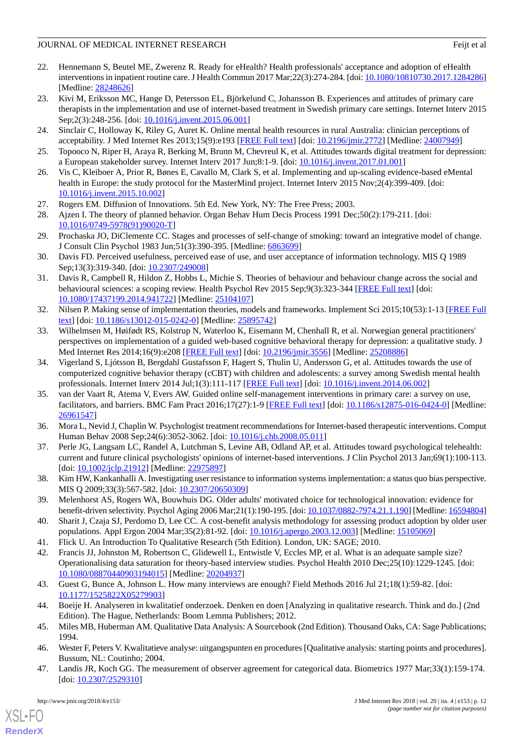- <span id="page-11-8"></span>22. Hennemann S, Beutel ME, Zwerenz R. Ready for eHealth? Health professionals' acceptance and adoption of eHealth interventions in inpatient routine care. J Health Commun 2017 Mar;22(3):274-284. [doi: [10.1080/10810730.2017.1284286\]](http://dx.doi.org/10.1080/10810730.2017.1284286) [Medline: [28248626](http://www.ncbi.nlm.nih.gov/entrez/query.fcgi?cmd=Retrieve&db=PubMed&list_uids=28248626&dopt=Abstract)]
- <span id="page-11-9"></span>23. Kivi M, Eriksson MC, Hange D, Petersson EL, Björkelund C, Johansson B. Experiences and attitudes of primary care therapists in the implementation and use of internet-based treatment in Swedish primary care settings. Internet Interv 2015 Sep;2(3):248-256. [doi: [10.1016/j.invent.2015.06.001\]](http://dx.doi.org/10.1016/j.invent.2015.06.001)
- <span id="page-11-10"></span><span id="page-11-0"></span>24. Sinclair C, Holloway K, Riley G, Auret K. Online mental health resources in rural Australia: clinician perceptions of acceptability. J Med Internet Res 2013;15(9):e193 [[FREE Full text](http://www.jmir.org/2013/9/e193/)] [doi: [10.2196/jmir.2772](http://dx.doi.org/10.2196/jmir.2772)] [Medline: [24007949](http://www.ncbi.nlm.nih.gov/entrez/query.fcgi?cmd=Retrieve&db=PubMed&list_uids=24007949&dopt=Abstract)]
- <span id="page-11-1"></span>25. Topooco N, Riper H, Araya R, Berking M, Brunn M, Chevreul K, et al. Attitudes towards digital treatment for depression: a European stakeholder survey. Internet Interv 2017 Jun;8:1-9. [doi: [10.1016/j.invent.2017.01.001\]](http://dx.doi.org/10.1016/j.invent.2017.01.001)
- <span id="page-11-2"></span>26. Vis C, Kleiboer A, Prior R, Bønes E, Cavallo M, Clark S, et al. Implementing and up-scaling evidence-based eMental health in Europe: the study protocol for the MasterMind project. Internet Interv 2015 Nov;2(4):399-409. [doi: [10.1016/j.invent.2015.10.002](http://dx.doi.org/10.1016/j.invent.2015.10.002)]
- <span id="page-11-3"></span>27. Rogers EM. Diffusion of Innovations. 5th Ed. New York, NY: The Free Press; 2003.
- <span id="page-11-4"></span>28. Ajzen I. The theory of planned behavior. Organ Behav Hum Decis Process 1991 Dec;50(2):179-211. [doi: [10.1016/0749-5978\(91\)90020-T](http://dx.doi.org/10.1016/0749-5978(91)90020-T)]
- <span id="page-11-5"></span>29. Prochaska JO, DiClemente CC. Stages and processes of self-change of smoking: toward an integrative model of change. J Consult Clin Psychol 1983 Jun;51(3):390-395. [Medline: [6863699](http://www.ncbi.nlm.nih.gov/entrez/query.fcgi?cmd=Retrieve&db=PubMed&list_uids=6863699&dopt=Abstract)]
- <span id="page-11-6"></span>30. Davis FD. Perceived usefulness, perceived ease of use, and user acceptance of information technology. MIS Q 1989 Sep;13(3):319-340. [doi: [10.2307/249008\]](http://dx.doi.org/10.2307/249008)
- <span id="page-11-7"></span>31. Davis R, Campbell R, Hildon Z, Hobbs L, Michie S. Theories of behaviour and behaviour change across the social and behavioural sciences: a scoping review. Health Psychol Rev 2015 Sep;9(3):323-344 [[FREE Full text](http://europepmc.org/abstract/MED/25104107)] [doi: [10.1080/17437199.2014.941722\]](http://dx.doi.org/10.1080/17437199.2014.941722) [Medline: [25104107\]](http://www.ncbi.nlm.nih.gov/entrez/query.fcgi?cmd=Retrieve&db=PubMed&list_uids=25104107&dopt=Abstract)
- <span id="page-11-11"></span>32. Nilsen P. Making sense of implementation theories, models and frameworks. Implement Sci 2015;10(53):1-13 [[FREE Full](http://www.implementationscience.com/content/10//53) [text](http://www.implementationscience.com/content/10//53)] [doi: [10.1186/s13012-015-0242-0\]](http://dx.doi.org/10.1186/s13012-015-0242-0) [Medline: [25895742](http://www.ncbi.nlm.nih.gov/entrez/query.fcgi?cmd=Retrieve&db=PubMed&list_uids=25895742&dopt=Abstract)]
- <span id="page-11-12"></span>33. Wilhelmsen M, Høifødt RS, Kolstrup N, Waterloo K, Eisemann M, Chenhall R, et al. Norwegian general practitioners' perspectives on implementation of a guided web-based cognitive behavioral therapy for depression: a qualitative study. J Med Internet Res 2014;16(9):e208 [[FREE Full text](http://www.jmir.org/2014/9/e208/)] [doi: [10.2196/jmir.3556](http://dx.doi.org/10.2196/jmir.3556)] [Medline: [25208886](http://www.ncbi.nlm.nih.gov/entrez/query.fcgi?cmd=Retrieve&db=PubMed&list_uids=25208886&dopt=Abstract)]
- 34. Vigerland S, Ljótsson B, Bergdahl Gustafsson F, Hagert S, Thulin U, Andersson G, et al. Attitudes towards the use of computerized cognitive behavior therapy (cCBT) with children and adolescents: a survey among Swedish mental health professionals. Internet Interv 2014 Jul;1(3):111-117 [[FREE Full text](http://www.sciencedirect.com/science/journal/22147829/1/3)] [doi: [10.1016/j.invent.2014.06.002\]](http://dx.doi.org/10.1016/j.invent.2014.06.002)
- <span id="page-11-13"></span>35. van der Vaart R, Atema V, Evers AW. Guided online self-management interventions in primary care: a survey on use, facilitators, and barriers. BMC Fam Pract 2016;17(27):1-9 [[FREE Full text](https://bmcfampract.biomedcentral.com/articles/10.1186/s12875-016-0424-0)] [doi: [10.1186/s12875-016-0424-0\]](http://dx.doi.org/10.1186/s12875-016-0424-0) [Medline: [26961547](http://www.ncbi.nlm.nih.gov/entrez/query.fcgi?cmd=Retrieve&db=PubMed&list_uids=26961547&dopt=Abstract)]
- <span id="page-11-14"></span>36. Mora L, Nevid J, Chaplin W. Psychologist treatment recommendations for Internet-based therapeutic interventions. Comput Human Behav 2008 Sep; 24(6): 3052-3062. [doi: [10.1016/j.chb.2008.05.011\]](http://dx.doi.org/10.1016/j.chb.2008.05.011)
- <span id="page-11-15"></span>37. Perle JG, Langsam LC, Randel A, Lutchman S, Levine AB, Odland AP, et al. Attitudes toward psychological telehealth: current and future clinical psychologists' opinions of internet-based interventions. J Clin Psychol 2013 Jan;69(1):100-113. [doi: [10.1002/jclp.21912\]](http://dx.doi.org/10.1002/jclp.21912) [Medline: [22975897\]](http://www.ncbi.nlm.nih.gov/entrez/query.fcgi?cmd=Retrieve&db=PubMed&list_uids=22975897&dopt=Abstract)
- <span id="page-11-17"></span><span id="page-11-16"></span>38. Kim HW, Kankanhalli A. Investigating user resistance to information systems implementation: a status quo bias perspective. MIS Q 2009;33(3):567-582. [doi: [10.2307/20650309\]](http://dx.doi.org/10.2307/20650309)
- <span id="page-11-18"></span>39. Melenhorst AS, Rogers WA, Bouwhuis DG. Older adults' motivated choice for technological innovation: evidence for benefit-driven selectivity. Psychol Aging 2006 Mar;21(1):190-195. [doi: [10.1037/0882-7974.21.1.190](http://dx.doi.org/10.1037/0882-7974.21.1.190)] [Medline: [16594804\]](http://www.ncbi.nlm.nih.gov/entrez/query.fcgi?cmd=Retrieve&db=PubMed&list_uids=16594804&dopt=Abstract)
- <span id="page-11-19"></span>40. Sharit J, Czaja SJ, Perdomo D, Lee CC. A cost-benefit analysis methodology for assessing product adoption by older user populations. Appl Ergon 2004 Mar;35(2):81-92. [doi: [10.1016/j.apergo.2003.12.003\]](http://dx.doi.org/10.1016/j.apergo.2003.12.003) [Medline: [15105069](http://www.ncbi.nlm.nih.gov/entrez/query.fcgi?cmd=Retrieve&db=PubMed&list_uids=15105069&dopt=Abstract)]
- <span id="page-11-20"></span>41. Flick U. An Introduction To Qualitative Research (5th Edition). London, UK: SAGE; 2010.
- <span id="page-11-21"></span>42. Francis JJ, Johnston M, Robertson C, Glidewell L, Entwistle V, Eccles MP, et al. What is an adequate sample size? Operationalising data saturation for theory-based interview studies. Psychol Health 2010 Dec;25(10):1229-1245. [doi: [10.1080/08870440903194015\]](http://dx.doi.org/10.1080/08870440903194015) [Medline: [20204937\]](http://www.ncbi.nlm.nih.gov/entrez/query.fcgi?cmd=Retrieve&db=PubMed&list_uids=20204937&dopt=Abstract)
- <span id="page-11-22"></span>43. Guest G, Bunce A, Johnson L. How many interviews are enough? Field Methods 2016 Jul 21;18(1):59-82. [doi: [10.1177/1525822X05279903](http://dx.doi.org/10.1177/1525822X05279903)]
- <span id="page-11-23"></span>44. Boeije H. Analyseren in kwalitatief onderzoek. Denken en doen [Analyzing in qualitative research. Think and do.] (2nd Edition). The Hague, Netherlands: Boom Lemma Publishers; 2012.
- 45. Miles MB, Huberman AM. Qualitative Data Analysis: A Sourcebook (2nd Edition). Thousand Oaks, CA: Sage Publications; 1994.
- 46. Wester F, Peters V. Kwalitatieve analyse: uitgangspunten en procedures [Qualitative analysis: starting points and procedures]. Bussum, NL: Coutinho; 2004.
- 47. Landis JR, Koch GG. The measurement of observer agreement for categorical data. Biometrics 1977 Mar;33(1):159-174. [doi: [10.2307/2529310](http://dx.doi.org/10.2307/2529310)]

```
XSL•FO
```
**[RenderX](http://www.renderx.com/)**